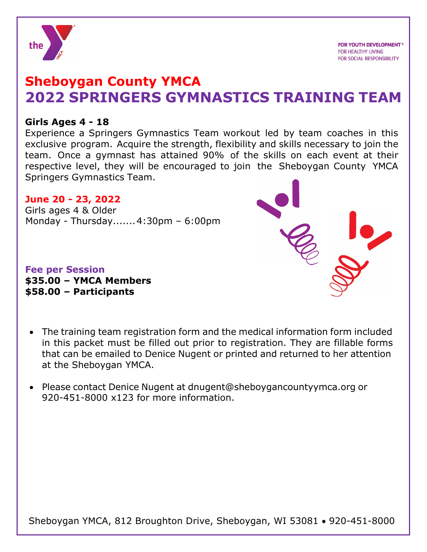

# **Sheboygan County YMCA 2022 SPRINGERS GYMNASTICS TRAINING TEAM**

## **Girls Ages 4 - 18**

Experience a Springers Gymnastics Team workout led by team coaches in this exclusive program. Acquire the strength, flexibility and skills necessary to join the team. Once a gymnast has attained 90% of the skills on each event at their respective level, they will be encouraged to join the Sheboygan County YMCA Springers Gymnastics Team.

## **June 20 - 23, 2022**

Girls ages 4 & Older Monday - Thursday.......4:30pm – 6:00pm

**Fee per Session \$35.00 – YMCA Members \$58.00 – Participants**

- The training team registration form and the medical information form included in this packet must be filled out prior to registration. They are fillable forms that can be emailed to Denice Nugent or printed and returned to her attention at the Sheboygan YMCA.
- Please contact Denice Nugent at dnugent@sheboygancountyymca.org or 920-451-8000 x123 for more information.

Sheboygan YMCA, 812 Broughton Drive, Sheboygan, WI 53081 • 920-451-8000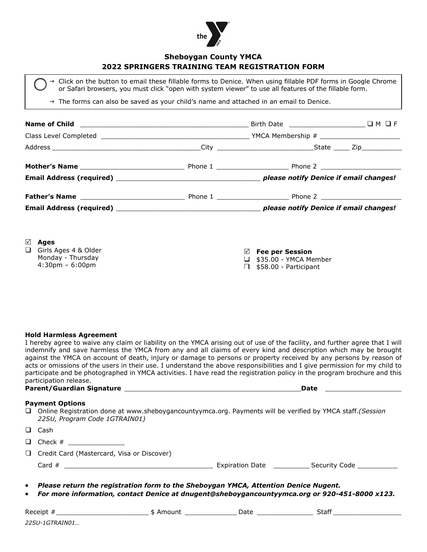

### **Sheboygan County YMCA 2022 SPRINGERS TRAINING TEAM REGISTRATION FORM**

 $\rightarrow$  Click on the button to email these fillable forms to Denice. When using fillable PDF forms in Google Chrome or Safari browsers, you must click "open with system viewer" to use all features of the fillable form.

 $\rightarrow$  The forms can also be saved as your child's name and attached in an email to Denice.

| ☑<br>Ages<br>Girls Ages 4 & Older<br>$\Box$<br>Monday - Thursday<br>$4:30 \text{pm} - 6:00 \text{pm}$ | $\boxtimes$ Fee per Session<br>$\Box$ \$35.00 - YMCA Member<br>\$58.00 - Participant |  |  |  |
|-------------------------------------------------------------------------------------------------------|--------------------------------------------------------------------------------------|--|--|--|

**Hold Harmless Agreement**

I hereby agree to waive any claim or liability on the YMCA arising out of use of the facility, and further agree that I will indemnify and save harmless the YMCA from any and all claims of every kind and description which may be brought against the YMCA on account of death, injury or damage to persons or property received by any persons by reason of acts or omissions of the users in their use. I understand the above responsibilities and I give permission for my child to participate and be photographed in YMCA activities. I have read the registration policy in the program brochure and this participation release.

### **Parent/Guardian Signature** \_\_\_\_\_\_\_\_\_\_\_\_\_\_\_\_\_\_\_\_\_\_\_\_\_\_\_\_\_\_\_\_\_\_\_\_\_\_\_\_\_\_\_\_**Date** \_\_\_\_\_\_\_\_\_\_\_\_\_\_\_\_\_\_\_

|  |  |  | . .<br>-<br>$\sim$ | . . |
|--|--|--|--------------------|-----|
|  |  |  |                    |     |

#### **Payment Options**

 Online Registration done at www.sheboygancountyymca.org. Payments will be verified by YMCA staff.*(Session 22SU, Program Code 1GTRAIN01)*

| $\Box$ Cash                                |                        |                           |
|--------------------------------------------|------------------------|---------------------------|
| $\Box$ Check #                             |                        |                           |
| Credit Card (Mastercard, Visa or Discover) |                        |                           |
| Card $#$                                   | <b>Expiration Date</b> | Security Code ___________ |
| ______                                     |                        |                           |

- *Please return the registration form to the Sheboygan YMCA, Attention Denice Nugent.*
- *For more information, contact Denice at dnugent@sheboygancountyymca.org or 920-451-8000 x123.*

| Receip                                                                                                                                                | Darc | Jla, |
|-------------------------------------------------------------------------------------------------------------------------------------------------------|------|------|
| $22SU-$<br><i>I GTRAINN</i> 1<br>,<br>the contract of the contract of the contract of the contract of the contract of the contract of the contract of |      |      |